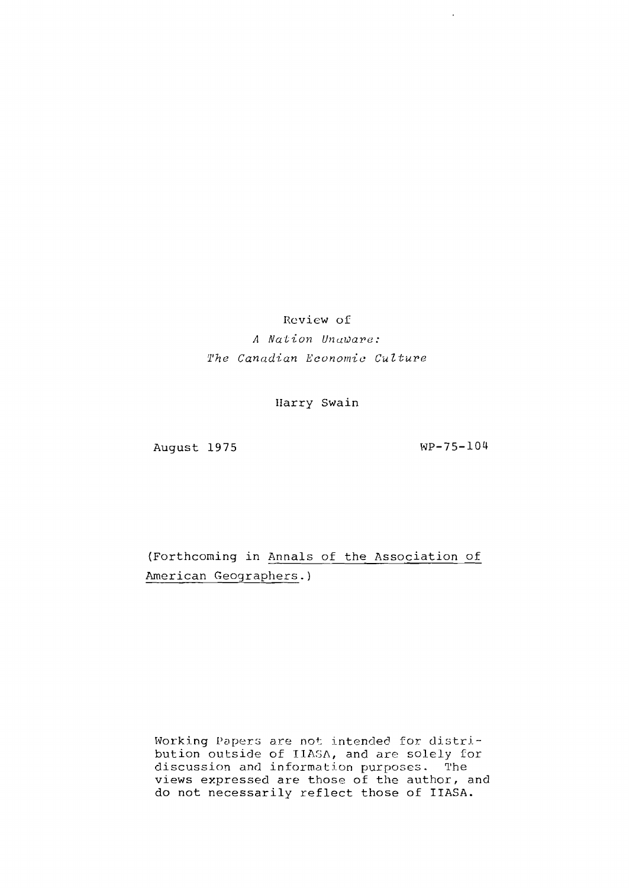Review of *A Nation UnaWare: 7.'he Canadian Economic Cu l ture*

Harry Swain

August 1975 **6.2008 WP-75-104** 

 $\cdot$ 

(Forthcoming in Annals of the Association of American Geographers.)

Working Papers are not intended for distribution outside of IIASA, and are solely for discussion and information purposes. The views expressed are those of the author, and do not necessarily reflect those of IIASA.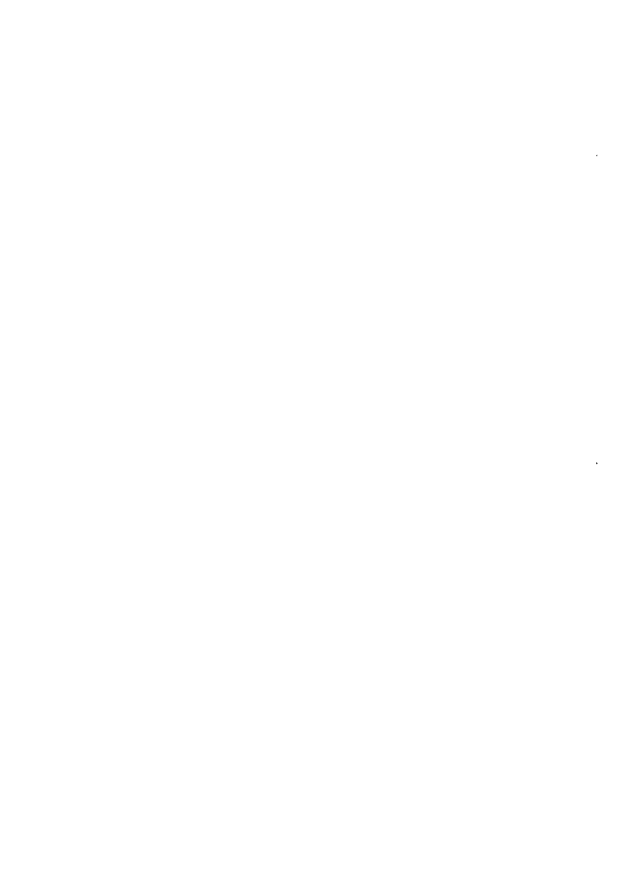$\epsilon$  $\star$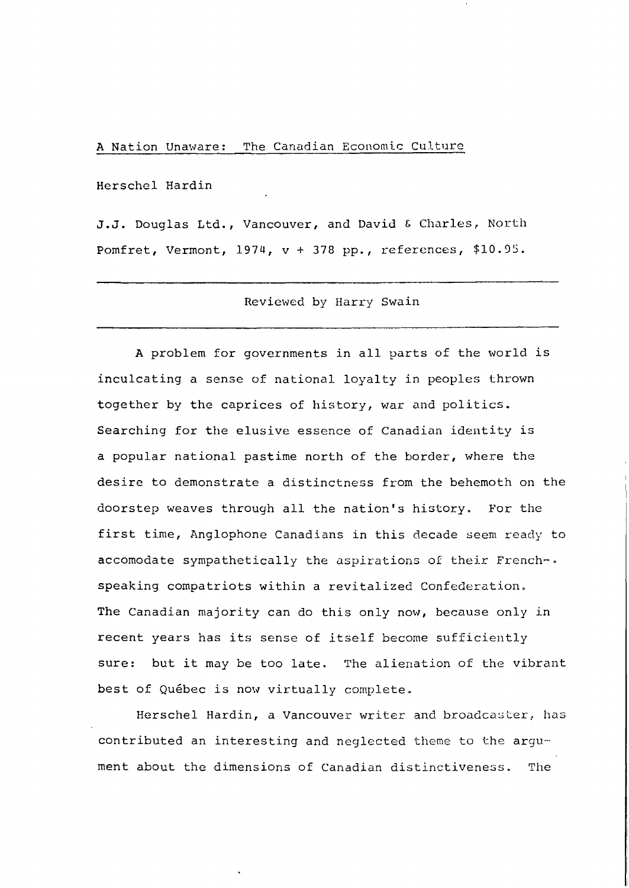## A Nation Unaware: The Canadian Economic Culture

Herschel Hardin

**J.J.** Douglas Ltd., Vancouver, and David & Charles, North Pomfret, Vermont, 1974, v + 378 pp., references, \$lO.9S.

Reviewed by Harry Swain

<sup>A</sup> problem for governments in all parts of the world is inculcating a sense of national loyalty in peoples thrown together by the caprices of history, war and politics. Searching for the elusive essence of Canadian identity is a popular national pastime north of the border, where the desire to demonstrate a distinctness from the behemoth on the doorstep weaves through all the nation's history. For the first time, Anglophone Canadians in this decade seem ready to accomodate sympathetically the aspirations of their French-. speaking compatriots within a revitalized Confederation. The Canadian majority can do this only now, because only in recent years has its sense of itself become sufficiently sure: but it may be too late. The alienation of the vibrant best of Québec is now virtually complete.

Herschel Hardin, a Vancouver writer and broadcaster, has contributed an interesting and neglected theme to the argument about the dimensions of Canadian distinctiveness. The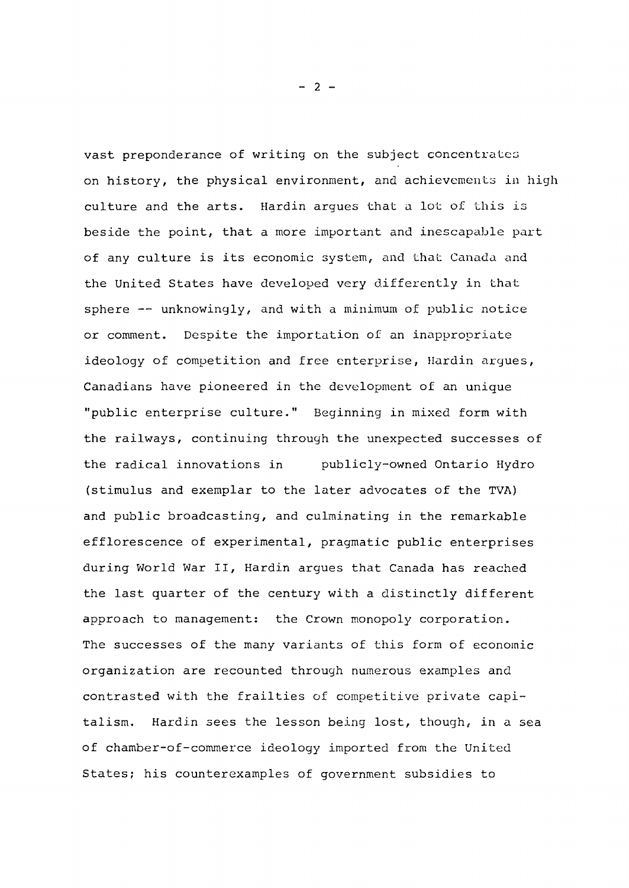vast preponderance of writing on the subject concentrates on history, the physical environment, and achievements in high culture and the arts. Hardin argues that <sup>a</sup> lot of this is beside the point, that <sup>a</sup> more important and inescapable part of any culture is its economic system, and that Canada and the United States have developed very differently in that sphere -- unknowingly, and with a minimum of public notice or comment. Despite the importation of an inappropriate ideology of competition and free enterprise, Hardin argues, Canadians have pioneered in the development of an unique "public enterprise culture." Beginning in mixed form with the railways, continuing through the unexpected successes of the radical innovations in publicly-owned Ontario Hydro (stimulus and exemplar to the later advocates of the TVA) and public broadcasting, and culminating in the remarkable efflorescence of experimental, pragmatic public enterprises during World War II, Hardin argues that Canada has reached the last quarter of the century with <sup>a</sup> distinctly different approach to management: the Crown monopoly corporation. The successes of the many variants of this form of economic organization are recounted through numerous examples and contrasted with the frailties of competitive private capitalism. Hardin sees the lesson being lost, though, in <sup>a</sup> sea of chamber-of-commerce ideology imported from the United States; his counterexamples of government subsidies to

 $- 2 -$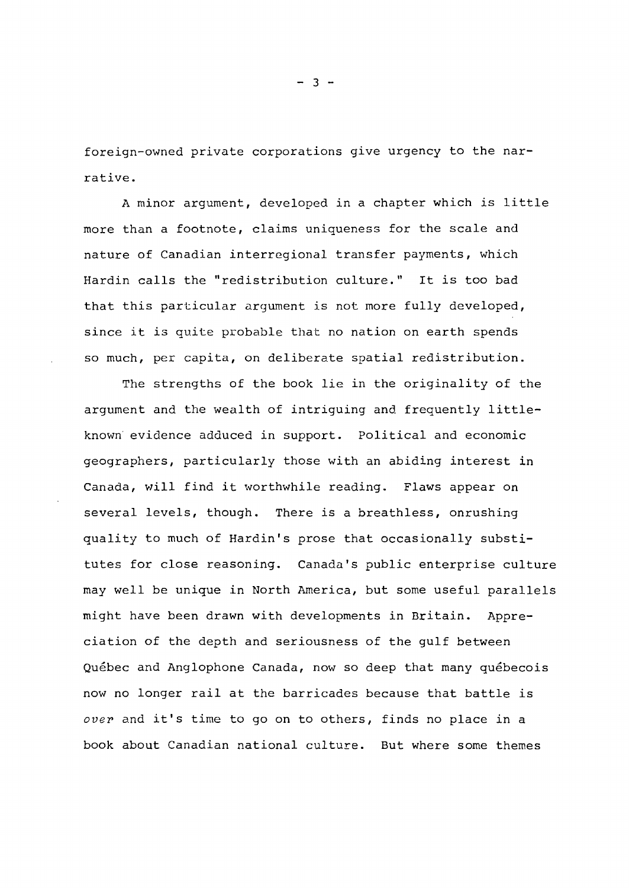foreign-owned private corporations give urgency to the narrative.

<sup>A</sup> minor argument, developed in <sup>a</sup> chapter which is little more than a footnote, claims uniqueness for the scale and nature of Canadian interregional transfer payments, which Hardin calls the "redistribution culture." It is too bad that this particular argument is not more fully developed, since it is quite probable that no nation on earth spends so much, per capita, on deliberate spatial redistribution.

The strengths of the book lie in the originality of the argument and the wealth of intriguing and frequently littleknown" evidence adduced in support. Political and economic geographers, particularly those with an abiding interest in Canada, will find it worthwhile reading. Flaws appear on several levels, though. There is <sup>a</sup> breathless, onrushing quality to much of Hardin's prose that occasionally substitutes for close reasoning. Canada's public enterprise culture may well be unique in North America, but some useful parallels might have been drawn with developments in Britain. Appreciation of the depth and seriousness of the gulf between Québec and Anglophone Canada, now so deep that many québecois now no longer rail at the barricades because that battle is over and it's time to go on to others, finds no place in a book about Canadian national culture. But where some themes

- 3 -